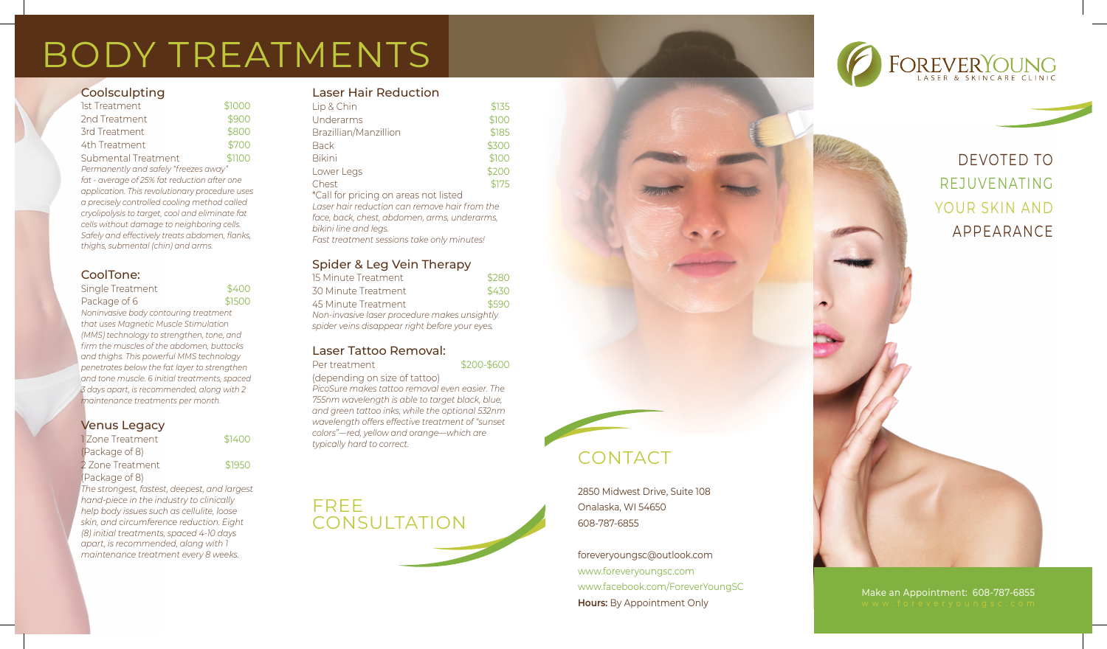# BODY TREATMENTS

#### **Coolsculpting**

| 1st Treatment                                   | \$1000 |  |
|-------------------------------------------------|--------|--|
| 2nd Treatment                                   | \$900  |  |
| 3rd Treatment                                   | \$800  |  |
| 4th Treatment                                   | \$700  |  |
| Submental Treatment                             | \$1100 |  |
| Permanently and safely "freezes away"           |        |  |
| fat - average of 25% fat reduction after one    |        |  |
| application. This revolutionary procedure uses  |        |  |
| a precisely controlled cooling method called    |        |  |
| cryolipolysis to target, cool and eliminate fat |        |  |
| cells without damage to neighboring cells.      |        |  |
| Safely and effectively treats abdomen, flanks,  |        |  |
| thiahs, submental (chin) and arms.              |        |  |

#### CoolTone:

| Single Treatment | \$400  |
|------------------|--------|
| Package of 6     | \$1500 |

*Noninvasive body contouring treatment that uses Magnetic Muscle Stimulation (MMS) technology to strengthen, tone, and firm the muscles of the abdomen, buttocks and thighs. This powerful MMS technology penetrates below the fat layer to strengthen and tone muscle. 6 initial treatments, spaced 3 days apart, is recommended, along with 2 maintenance treatments per month.*

#### Venus Legacy

| 1 Zone Treatment                             | \$1400 |
|----------------------------------------------|--------|
| (Package of 8)                               |        |
| 2 Zone Treatment                             | \$1950 |
| (Package of 8)                               |        |
| The strongest, fastest, deepest, and largest |        |
| hand-piece in the industry to clinically     |        |
| help body issues such as cellulite, loose    |        |
| skin, and circumference reduction. Eight     |        |
| (8) initial treatments, spaced 4-10 days     |        |
| apart, is recommended, along with 1          |        |

*maintenance treatment every 8 weeks.*

#### Laser Hair Reduction

| Lip & Chin                               | \$135 |
|------------------------------------------|-------|
| Underarms                                | \$100 |
| Brazillian/Manzillion                    | \$185 |
| <b>Back</b>                              | \$300 |
| <b>Bikini</b>                            | \$100 |
| Lower Legs                               | \$200 |
| Chest                                    | \$175 |
| $*$ Call for prior a an areae pet listed |       |

\*Call for pricing on areas not listed *Laser hair reduction can remove hair from the face, back, chest, abdomen, arms, underarms, bikini line and legs. Fast treatment sessions take only minutes!*

#### Spider & Leg Vein Therapy

| 15 Minute Treatment                            | \$280 |  |
|------------------------------------------------|-------|--|
| 30 Minute Treatment                            | \$430 |  |
| 45 Minute Treatment                            | \$590 |  |
| Non-invasive laser procedure makes unsightly   |       |  |
| spider veins disappear right before your eyes. |       |  |

#### Laser Tattoo Removal:

Per treatment  $$200-$600$ 

(depending on size of tattoo)

*PicoSure makes tattoo removal even easier. The 755nm wavelength is able to target black, blue, and green tattoo inks, while the optional 532nm wavelength offers effective treatment of "sunset colors"—red, yellow and orange—which are typically hard to correct.*



### CONTACT

2850 Midwest Drive, Suite 108 Onalaska, WI 54650 608-787-6855

foreveryoungsc@outlook.com www.foreveryoungsc.com www.facebook.com/ForeverYoungSC **Hours:** By Appointment Only



### DEVOTED TO REJUVENATING YOUR SKIN AND APPEARANCE

## Make an Appointment: 608-787-6855